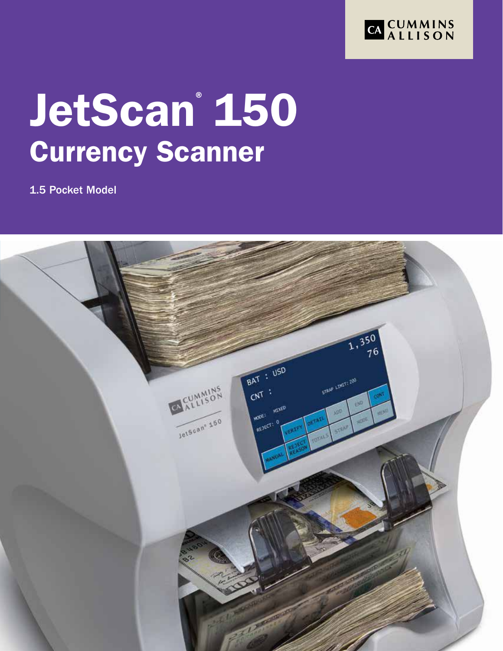

# JetScan® 150 Currency Scanner

1.5 Pocket Model

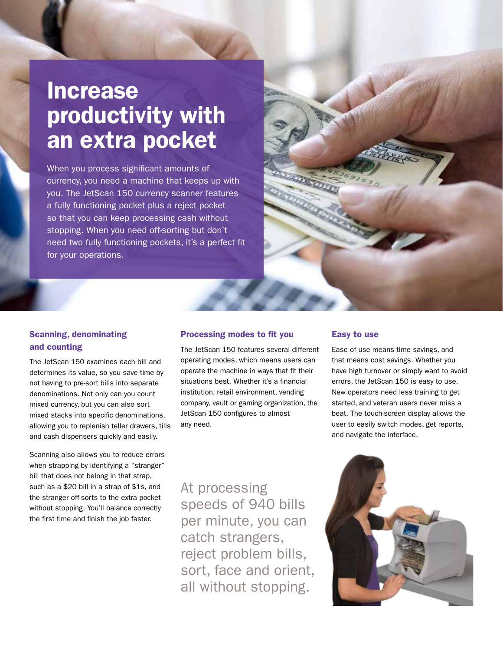## Increase productivity with an extra pocket

When you process significant amounts of currency, you need a machine that keeps up with you. The JetScan 150 currency scanner features a fully functioning pocket plus a reject pocket so that you can keep processing cash without stopping. When you need off-sorting but don't need two fully functioning pockets, it's a perfect fit for your operations.



#### Scanning, denominating and counting

The JetScan 150 examines each bill and determines its value, so you save time by not having to pre-sort bills into separate denominations. Not only can you count mixed currency, but you can also sort mixed stacks into specific denominations, allowing you to replenish teller drawers, tills and cash dispensers quickly and easily.

Scanning also allows you to reduce errors when strapping by identifying a "stranger" bill that does not belong in that strap, such as a \$20 bill in a strap of \$1s, and the stranger off-sorts to the extra pocket without stopping. You'll balance correctly the first time and finish the job faster.

#### Processing modes to fit you

The JetScan 150 features several different operating modes, which means users can operate the machine in ways that fit their situations best. Whether it's a financial institution, retail environment, vending company, vault or gaming organization, the JetScan 150 configures to almost any need.

#### Easy to use

Ease of use means time savings, and that means cost savings. Whether you have high turnover or simply want to avoid errors, the JetScan 150 is easy to use. New operators need less training to get started, and veteran users never miss a beat. The touch-screen display allows the user to easily switch modes, get reports, and navigate the interface.

At processing speeds of 940 bills per minute, you can catch strangers, reject problem bills, sort, face and orient, all without stopping.

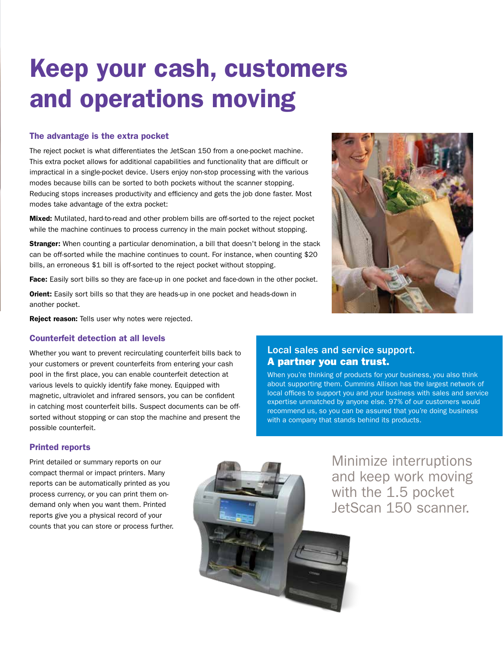## Keep your cash, customers and operations moving

#### The advantage is the extra pocket

The reject pocket is what differentiates the JetScan 150 from a one-pocket machine. This extra pocket allows for additional capabilities and functionality that are difficult or impractical in a single-pocket device. Users enjoy non-stop processing with the various modes because bills can be sorted to both pockets without the scanner stopping. Reducing stops increases productivity and efficiency and gets the job done faster. Most modes take advantage of the extra pocket:

Mixed: Mutilated, hard-to-read and other problem bills are off-sorted to the reject pocket while the machine continues to process currency in the main pocket without stopping.

Stranger: When counting a particular denomination, a bill that doesn't belong in the stack can be off-sorted while the machine continues to count. For instance, when counting \$20 bills, an erroneous \$1 bill is off-sorted to the reject pocket without stopping.

Face: Easily sort bills so they are face-up in one pocket and face-down in the other pocket.

Orient: Easily sort bills so that they are heads-up in one pocket and heads-down in another pocket.

**Reject reason:** Tells user why notes were rejected.

#### Counterfeit detection at all levels

Whether you want to prevent recirculating counterfeit bills back to your customers or prevent counterfeits from entering your cash pool in the first place, you can enable counterfeit detection at various levels to quickly identify fake money. Equipped with magnetic, ultraviolet and infrared sensors, you can be confident in catching most counterfeit bills. Suspect documents can be offsorted without stopping or can stop the machine and present the possible counterfeit.

#### Printed reports

Print detailed or summary reports on our compact thermal or impact printers. Many reports can be automatically printed as you process currency, or you can print them ondemand only when you want them. Printed reports give you a physical record of your counts that you can store or process further.



Minimize interruptions and keep work moving with the 1.5 pocket JetScan 150 scanner.



Local sales and service support.

with a company that stands behind its products.

When you're thinking of products for your business, you also think about supporting them. Cummins Allison has the largest network of local offices to support you and your business with sales and service expertise unmatched by anyone else. 97% of our customers would recommend us, so you can be assured that you're doing business

A partner you can trust.